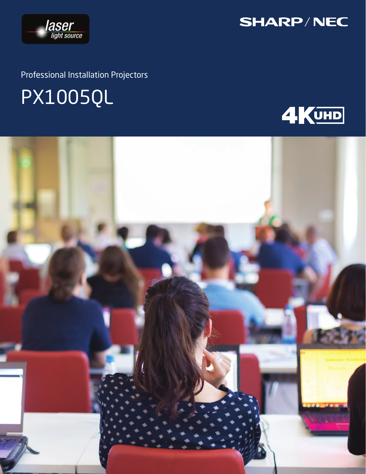

Professional Installation Projectors

# PX1005QL



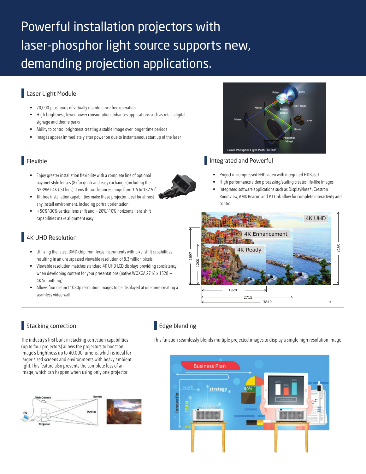# Powerful installation projectors with laser-phosphor light source supports new, demanding projection applications.

## Laser Light Module

- **•** 20,000-plus hours of virtually maintenance-free operation
- **•** High-brightness, lower power consumption enhances applications such as retail, digital signage and theme parks
- **•** Ability to control brightness creating a stable image over longer time periods
- **•** Images appear immediately after power on due to instantaneous start up of the laser

# Flexible

- **•** Enjoy greater installation flexibility with a complete line of optional bayonet style lenses (8) for quick and easy exchange (including the NP39ML-4K UST lens). Lens throw distances range from 1.6 to 182.9 ft
- **•** Tilt-free installation capabilities make these projector ideal for almost any install environment, including portrait orientation
- **•** +50%/-30% vertical lens shift and +20%/-10% horizontal lens shift capabilities make alignment easy

# 4K UHD Resolution

- **•** Utilizing the latest DMD chip from Texas Instruments with pixel shift capabilities resulting in an unsurpassed viewable resolution of 8.3million pixels
- **•** Viewable resolution matches standard 4K UHD LCD displays providing consistency when developing content for your presentations (native WQXGA 2716 x 1528 + 4K Smoothing)
- **•** Allows four distinct 1080p resolution images to be displayed at one time creating a seamless video wall

# Stacking correction

The industry's first built-in stacking correction capabilities (up to four projectors) allows the projectors to boost an image's brightness up to 40,000 lumens, which is ideal for larger-sized screens and environments with heavy ambient light. This feature also prevents the complete loss of an image, which can happen when using only one projector.



# Edge blending

This function seamlessly blends multiple projected images to display a single high-resolution image.





#### Integrated and Powerful

- **•** Project uncompressed FHD video with integrated HDBaseT
- **•** High performance video processing/scaling creates life-like images
- **•** Integrated software applications such as DisplayNote®, Crestron Roomview, AMX Beacon and PJ Link allow for complete interactivity and control



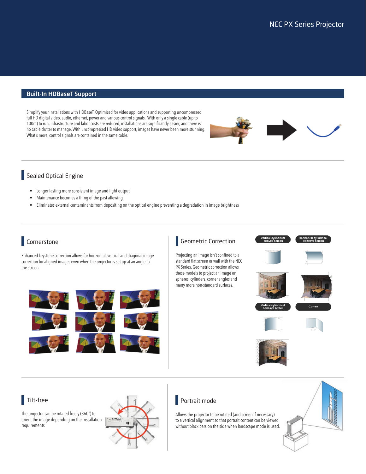#### Built-In HDBaseT Support

Simplify your installations with HDBaseT. Optimized for video applications and supporting uncompressed full HD digital video, audio, ethernet, power and various control signals. With only a single cable (up to 100m) to run, infrastructure and labor costs are reduced, installations are significantly easier, and there is no cable clutter to manage. With uncompressed HD video support, images have never been more stunning. What's more, control signals are contained in the same cable.



### Sealed Optical Engine

- **•** Longer lasting more consistent image and light output
- **•** Maintenance becomes a thing of the past allowing
- **•** Eliminates external contaminants from depositing on the optical engine preventing a degradation in image brightness

# Cornerstone

Enhanced keystone correction allows for horizontal, vertical and diagonal image correction for aligned images even when the projector is set up at an angle to the screen.





#### Tilt-free

The projector can be rotated freely (360°) to orient the image depending on the installation requirements



#### **Portrait mode**

Allows the projector to be rotated (and screen if necessary) to a vertical alignment so that portrait content can be viewed without black bars on the side when landscape mode is used.